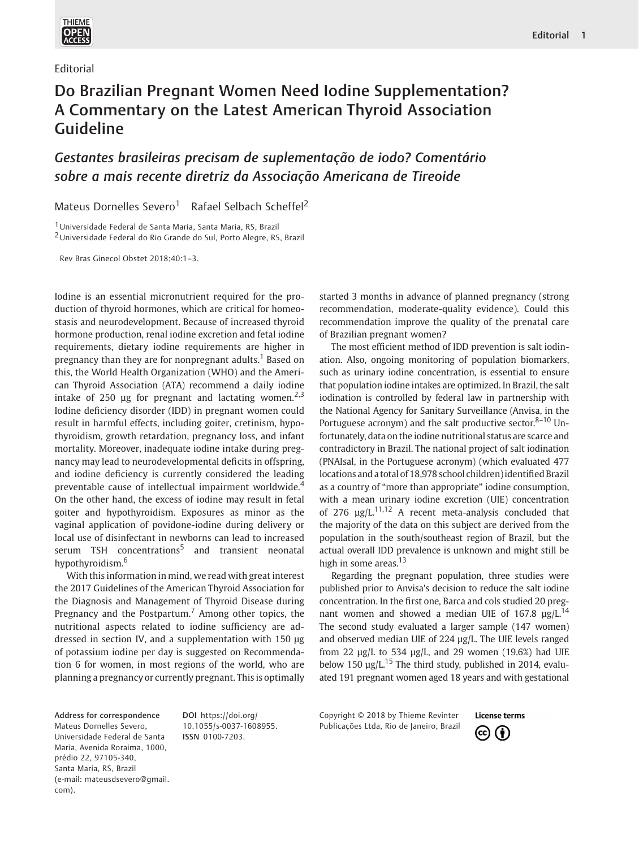

Editorial

## Do Brazilian Pregnant Women Need Iodine Supplementation? A Commentary on the Latest American Thyroid Association Guideline

Gestantes brasileiras precisam de suplementação de iodo? Comentário sobre a mais recente diretriz da Associação Americana de Tireoide

Mateus Dornelles Severo<sup>1</sup> Rafael Selbach Scheffel<sup>2</sup>

1Universidade Federal de Santa Maria, Santa Maria, RS, Brazil 2Universidade Federal do Rio Grande do Sul, Porto Alegre, RS, Brazil

Rev Bras Ginecol Obstet 2018;40:1–3.

Iodine is an essential micronutrient required for the production of thyroid hormones, which are critical for homeostasis and neurodevelopment. Because of increased thyroid hormone production, renal iodine excretion and fetal iodine requirements, dietary iodine requirements are higher in pregnancy than they are for nonpregnant adults.<sup>1</sup> Based on this, the World Health Organization (WHO) and the American Thyroid Association (ATA) recommend a daily iodine intake of 250  $\mu$ g for pregnant and lactating women.<sup>2,3</sup> Iodine deficiency disorder (IDD) in pregnant women could result in harmful effects, including goiter, cretinism, hypothyroidism, growth retardation, pregnancy loss, and infant mortality. Moreover, inadequate iodine intake during pregnancy may lead to neurodevelopmental deficits in offspring, and iodine deficiency is currently considered the leading preventable cause of intellectual impairment worldwide.<sup>4</sup> On the other hand, the excess of iodine may result in fetal goiter and hypothyroidism. Exposures as minor as the vaginal application of povidone-iodine during delivery or local use of disinfectant in newborns can lead to increased serum TSH concentrations<sup>5</sup> and transient neonatal hypothyroidism.<sup>6</sup>

With this information in mind, we read with great interest the 2017 Guidelines of the American Thyroid Association for the Diagnosis and Management of Thyroid Disease during Pregnancy and the Postpartum.<sup>7</sup> Among other topics, the nutritional aspects related to iodine sufficiency are addressed in section IV, and a supplementation with 150 μg of potassium iodine per day is suggested on Recommendation 6 for women, in most regions of the world, who are planning a pregnancy or currently pregnant. This is optimally started 3 months in advance of planned pregnancy (strong recommendation, moderate-quality evidence). Could this recommendation improve the quality of the prenatal care of Brazilian pregnant women?

The most efficient method of IDD prevention is salt iodination. Also, ongoing monitoring of population biomarkers, such as urinary iodine concentration, is essential to ensure that population iodine intakes are optimized. In Brazil, the salt iodination is controlled by federal law in partnership with the National Agency for Sanitary Surveillance (Anvisa, in the Portuguese acronym) and the salt productive sector.<sup>8-10</sup> Unfortunately, data on the iodine nutritional status are scarce and contradictory in Brazil. The national project of salt iodination (PNAIsal, in the Portuguese acronym) (which evaluated 477 locations and a total of 18,978 school children) identified Brazil as a country of "more than appropriate" iodine consumption, with a mean urinary iodine excretion (UIE) concentration of 276  $\mu$ g/L.<sup>11,12</sup> A recent meta-analysis concluded that the majority of the data on this subject are derived from the population in the south/southeast region of Brazil, but the actual overall IDD prevalence is unknown and might still be high in some areas. $13$ 

Regarding the pregnant population, three studies were published prior to Anvisa's decision to reduce the salt iodine concentration. In the first one, Barca and cols studied 20 pregnant women and showed a median UIE of 167.8  $\mu$ g/L.<sup>14</sup> The second study evaluated a larger sample (147 women) and observed median UIE of 224 μg/L. The UIE levels ranged from 22  $\mu$ g/L to 534  $\mu$ g/L, and 29 women (19.6%) had UIE below 150  $\mu$ g/L,<sup>15</sup> The third study, published in 2014, evaluated 191 pregnant women aged 18 years and with gestational

Address for correspondence Mateus Dornelles Severo, Universidade Federal de Santa Maria, Avenida Roraima, 1000, prédio 22, 97105-340, Santa Maria, RS, Brazil (e-mail: mateusdsevero@gmail. com).

DOI https://doi.org/ 10.1055/s-0037-1608955. ISSN 0100-7203.

Copyright © 2018 by Thieme Revinter Publicações Ltda, Rio de Janeiro, Brazil

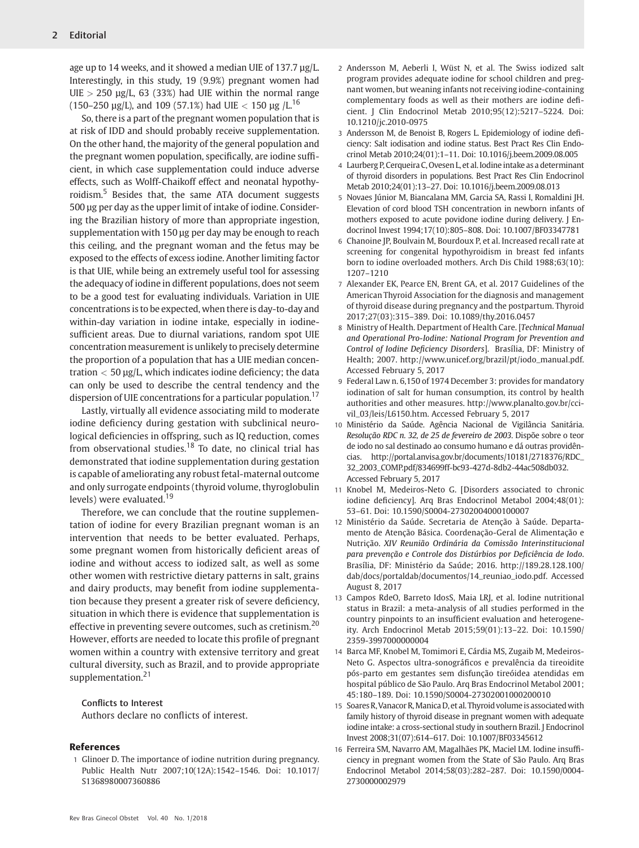age up to 14 weeks, and it showed a median UIE of 137.7 µg/L. Interestingly, in this study, 19 (9.9%) pregnant women had  $UIE > 250 \text{ µg/L}$ , 63 (33%) had UIE within the normal range (150–250 μg/L), and 109 (57.1%) had UIE  $<$  150 μg /L.<sup>16</sup>

So, there is a part of the pregnant women population that is at risk of IDD and should probably receive supplementation. On the other hand, the majority of the general population and the pregnant women population, specifically, are iodine sufficient, in which case supplementation could induce adverse effects, such as Wolff-Chaikoff effect and neonatal hypothyroidism.<sup>5</sup> Besides that, the same ATA document suggests 500 μg per day as the upper limit of intake of iodine. Considering the Brazilian history of more than appropriate ingestion, supplementation with 150 μg per day may be enough to reach this ceiling, and the pregnant woman and the fetus may be exposed to the effects of excess iodine. Another limiting factor is that UIE, while being an extremely useful tool for assessing the adequacy of iodine in different populations, does not seem to be a good test for evaluating individuals. Variation in UIE concentrations is to be expected, when there is day-to-day and within-day variation in iodine intake, especially in iodinesufficient areas. Due to diurnal variations, random spot UIE concentration measurement is unlikely to precisely determine the proportion of a population that has a UIE median concentration  $<$  50  $\mu$ g/L, which indicates iodine deficiency; the data can only be used to describe the central tendency and the dispersion of UIE concentrations for a particular population.<sup>17</sup>

Lastly, virtually all evidence associating mild to moderate iodine deficiency during gestation with subclinical neurological deficiencies in offspring, such as IQ reduction, comes from observational studies.<sup>18</sup> To date, no clinical trial has demonstrated that iodine supplementation during gestation is capable of ameliorating any robust fetal-maternal outcome and only surrogate endpoints (thyroid volume, thyroglobulin levels) were evaluated.<sup>19</sup>

Therefore, we can conclude that the routine supplementation of iodine for every Brazilian pregnant woman is an intervention that needs to be better evaluated. Perhaps, some pregnant women from historically deficient areas of iodine and without access to iodized salt, as well as some other women with restrictive dietary patterns in salt, grains and dairy products, may benefit from iodine supplementation because they present a greater risk of severe deficiency, situation in which there is evidence that supplementation is effective in preventing severe outcomes, such as cretinism.  $20$ However, efforts are needed to locate this profile of pregnant women within a country with extensive territory and great cultural diversity, such as Brazil, and to provide appropriate supplementation.<sup>21</sup>

## Conflicts to Interest

Authors declare no conflicts of interest.

## References

1 Glinoer D. The importance of iodine nutrition during pregnancy. Public Health Nutr 2007;10(12A):1542–1546. Doi: 10.1017/ S1368980007360886

- 2 Andersson M, Aeberli I, Wüst N, et al. The Swiss iodized salt program provides adequate iodine for school children and pregnant women, but weaning infants not receiving iodine-containing complementary foods as well as their mothers are iodine deficient. J Clin Endocrinol Metab 2010;95(12):5217–5224. Doi: 10.1210/jc.2010-0975
- 3 Andersson M, de Benoist B, Rogers L. Epidemiology of iodine deficiency: Salt iodisation and iodine status. Best Pract Res Clin Endocrinol Metab 2010;24(01):1–11. Doi: 10.1016/j.beem.2009.08.005
- 4 Laurberg P, Cerqueira C, Ovesen L, et al. Iodine intake as a determinant of thyroid disorders in populations. Best Pract Res Clin Endocrinol Metab 2010;24(01):13–27. Doi: 10.1016/j.beem.2009.08.013
- 5 Novaes Júnior M, Biancalana MM, Garcia SA, Rassi I, Romaldini JH. Elevation of cord blood TSH concentration in newborn infants of mothers exposed to acute povidone iodine during delivery. J Endocrinol Invest 1994;17(10):805–808. Doi: 10.1007/BF03347781
- 6 Chanoine JP, Boulvain M, Bourdoux P, et al. Increased recall rate at screening for congenital hypothyroidism in breast fed infants born to iodine overloaded mothers. Arch Dis Child 1988;63(10): 1207–1210
- 7 Alexander EK, Pearce EN, Brent GA, et al. 2017 Guidelines of the American Thyroid Association for the diagnosis and management of thyroid disease during pregnancy and the postpartum. Thyroid 2017;27(03):315–389. Doi: 10.1089/thy.2016.0457
- 8 Ministry of Health. Department of Health Care. [Technical Manual and Operational Pro-Iodine: National Program for Prevention and Control of Iodine Deficiency Disorders]. Brasília, DF: Ministry of Health; 2007. http://www.unicef.org/brazil/pt/iodo\_manual.pdf. Accessed February 5, 2017
- 9 Federal Law n. 6,150 of 1974 December 3: provides for mandatory iodination of salt for human consumption, its control by health authorities and other measures. http://www.planalto.gov.br/ccivil\_03/leis/L6150.htm. Accessed February 5, 2017
- 10 Ministério da Saúde. Agência Nacional de Vigilância Sanitária. Resolução RDC n. 32, de 25 de fevereiro de 2003. Dispõe sobre o teor de iodo no sal destinado ao consumo humano e dá outras providências. http://portal.anvisa.gov.br/documents/10181/2718376/RDC\_ 32\_2003\_COMP.pdf/834699ff-bc93-427d-8db2-44ac508db032. Accessed February 5, 2017
- 11 Knobel M, Medeiros-Neto G. [Disorders associated to chronic iodine deficiency]. Arq Bras Endocrinol Metabol 2004;48(01): 53–61. Doi: 10.1590/S0004-27302004000100007
- 12 Ministério da Saúde. Secretaria de Atenção à Saúde. Departamento de Atenção Básica. Coordenação-Geral de Alimentação e Nutrição. XIV Reunião Ordinária da Comissão Interinstitucional para prevenção e Controle dos Distúrbios por Deficiência de Iodo. Brasília, DF: Ministério da Saúde; 2016. http://189.28.128.100/ dab/docs/portaldab/documentos/14\_reuniao\_iodo.pdf. Accessed August 8, 2017
- 13 Campos RdeO, Barreto IdosS, Maia LRJ, et al. Iodine nutritional status in Brazil: a meta-analysis of all studies performed in the country pinpoints to an insufficient evaluation and heterogeneity. Arch Endocrinol Metab 2015;59(01):13–22. Doi: 10.1590/ 2359-3997000000004
- 14 Barca MF, Knobel M, Tomimori E, Cárdia MS, Zugaib M, Medeiros-Neto G. Aspectos ultra-sonográficos e prevalência da tireoidite pós-parto em gestantes sem disfunção tireóidea atendidas em hospital público de São Paulo. Arq Bras Endocrinol Metabol 2001; 45:180–189. Doi: 10.1590/S0004-27302001000200010
- 15 Soares R, Vanacor R, Manica D, et al. Thyroid volume is associated with family history of thyroid disease in pregnant women with adequate iodine intake: a cross-sectional study in southern Brazil. J Endocrinol Invest 2008;31(07):614–617. Doi: 10.1007/BF03345612
- 16 Ferreira SM, Navarro AM, Magalhães PK, Maciel LM. Iodine insufficiency in pregnant women from the State of São Paulo. Arq Bras Endocrinol Metabol 2014;58(03):282–287. Doi: 10.1590/0004- 2730000002979